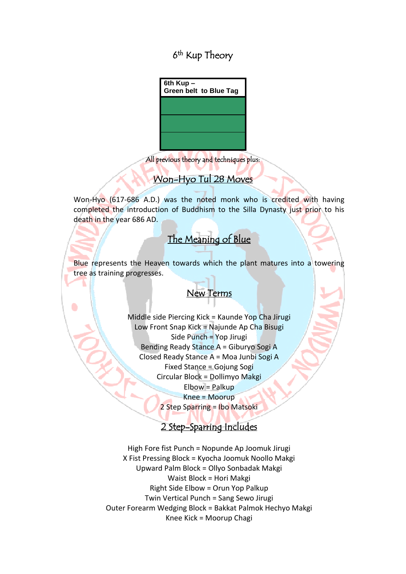6<sup>th</sup> Kup Theory

| 6th Kup-<br><b>Green belt to Blue Tag</b> |
|-------------------------------------------|
|                                           |
|                                           |
|                                           |

All previous theory and techniques plus:

### Won-Hyo Tul 28 Moves

Won-Hyo (617-686 A.D.) was the noted monk who is credited with having completed the introduction of Buddhism to the Silla Dynasty just prior to his death in the year 686 AD.

#### l The Meaning of Blue i

Blue represents the Heaven towards which the plant matures into a towering tree as training progresses.

# New Terms

Middle side Piercing Kick = Kaunde Yop Cha Jirugi Low Front Snap Kick = Najunde Ap Cha Bisugi Side Punch = Yop Jirugi Bending Ready Stance A = Giburyo Sogi A Closed Ready Stance A = Moa Junbi Sogi A Fixed Stance = Gojung Sogi Circular Block = Dollimyo Makgi Elbow = Palkup Knee = Moorup 2 Step Sparring = Ibo Matsoki

### 2 Step-Sparring Includes

High Fore fist Punch = Nopunde Ap Joomuk Jirugi X Fist Pressing Block = Kyocha Joomuk Noollo Makgi Upward Palm Block = Ollyo Sonbadak Makgi Waist Block = Hori Makgi Right Side Elbow = Orun Yop Palkup Twin Vertical Punch = Sang Sewo Jirugi Outer Forearm Wedging Block = Bakkat Palmok Hechyo Makgi Knee Kick = Moorup Chagi